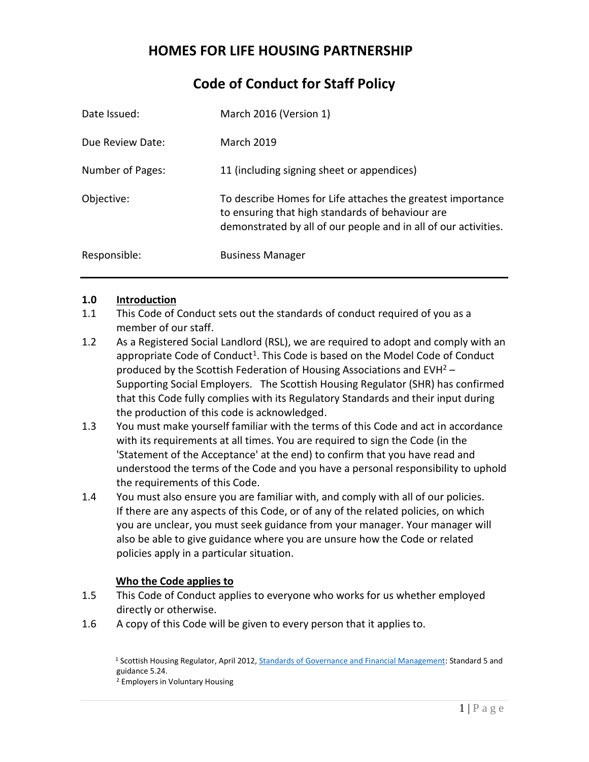# **HOMES FOR LIFE HOUSING PARTNERSHIP**

# **Code of Conduct for Staff Policy**

| Date Issued:     | March 2016 (Version 1)                                                                                                                                                             |
|------------------|------------------------------------------------------------------------------------------------------------------------------------------------------------------------------------|
| Due Review Date: | <b>March 2019</b>                                                                                                                                                                  |
| Number of Pages: | 11 (including signing sheet or appendices)                                                                                                                                         |
| Objective:       | To describe Homes for Life attaches the greatest importance<br>to ensuring that high standards of behaviour are<br>demonstrated by all of our people and in all of our activities. |
| Responsible:     | <b>Business Manager</b>                                                                                                                                                            |

#### **1.0 Introduction**

- 1.1 This Code of Conduct sets out the standards of conduct required of you as a member of our staff.
- 1.2 As a Registered Social Landlord (RSL), we are required to adopt and comply with an appropriate Code of Conduct<sup>1</sup>. This Code is based on the Model Code of Conduct produced by the Scottish Federation of Housing Associations and EVH<sup>2</sup> – Supporting Social Employers. The Scottish Housing Regulator (SHR) has confirmed that this Code fully complies with its Regulatory Standards and their input during the production of this code is acknowledged.
- 1.3 You must make yourself familiar with the terms of this Code and act in accordance with its requirements at all times. You are required to sign the Code (in the 'Statement of the Acceptance' at the end) to confirm that you have read and understood the terms of the Code and you have a personal responsibility to uphold the requirements of this Code.
- 1.4 You must also ensure you are familiar with, and comply with all of our policies. If there are any aspects of this Code, or of any of the related policies, on which you are unclear, you must seek guidance from your manager. Your manager will also be able to give guidance where you are unsure how the Code or related policies apply in a particular situation.

## **Who the Code applies to**

- 1.5 This Code of Conduct applies to everyone who works for us whether employed directly or otherwise.
- 1.6 A copy of this Code will be given to every person that it applies to.

<sup>1</sup> Scottish Housing Regulator, April 2012[, Standards of Governance and Financial Management:](http://www.scottishhousingregulator.gov.uk/sites/default/files/publications/Our%20Regulatory%20Framework.pdf) Standard 5 and guidance 5.24. <sup>2</sup> Employers in Voluntary Housing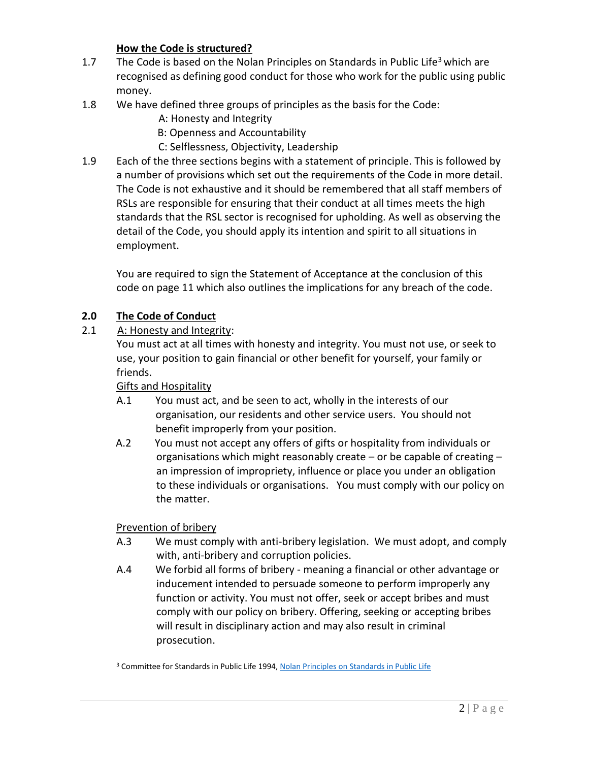## **How the Code is structured?**

- 1.7 The Code is based on the Nolan Principles on Standards in Public Life<sup>3</sup> which are recognised as defining good conduct for those who work for the public using public money.
- 1.8 We have defined three groups of principles as the basis for the Code:
	- A: Honesty and Integrity
	- B: Openness and Accountability
	- C: Selflessness, Objectivity, Leadership
- 1.9 Each of the three sections begins with a statement of principle. This is followed by a number of provisions which set out the requirements of the Code in more detail. The Code is not exhaustive and it should be remembered that all staff members of RSLs are responsible for ensuring that their conduct at all times meets the high standards that the RSL sector is recognised for upholding. As well as observing the detail of the Code, you should apply its intention and spirit to all situations in employment.

You are required to sign the Statement of Acceptance at the conclusion of this code on page 11 which also outlines the implications for any breach of the code.

## **2.0 The Code of Conduct**

## 2.1 A: Honesty and Integrity:

You must act at all times with honesty and integrity. You must not use, or seek to use, your position to gain financial or other benefit for yourself, your family or friends.

## Gifts and Hospitality

- A.1 You must act, and be seen to act, wholly in the interests of our organisation, our residents and other service users. You should not benefit improperly from your position.
- A.2 You must not accept any offers of gifts or hospitality from individuals or organisations which might reasonably create – or be capable of creating – an impression of impropriety, influence or place you under an obligation to these individuals or organisations. You must comply with our policy on the matter.

## Prevention of bribery

- A.3 We must comply with anti-bribery legislation. We must adopt, and comply with, anti-bribery and corruption policies.
- A.4 We forbid all forms of bribery meaning a financial or other advantage or inducement intended to persuade someone to perform improperly any function or activity. You must not offer, seek or accept bribes and must comply with our policy on bribery. Offering, seeking or accepting bribes will result in disciplinary action and may also result in criminal prosecution.

<sup>3</sup> Committee for Standards in Public Life 1994[, Nolan Principles on Standards in Public Life](http://www2.le.ac.uk/offices/finance/staff/regulations/appendices/appendix-a-the-seven-principles-of-public-life-from-the-report-of-the-committee-for-standards-in-public-life-the-nolan-report)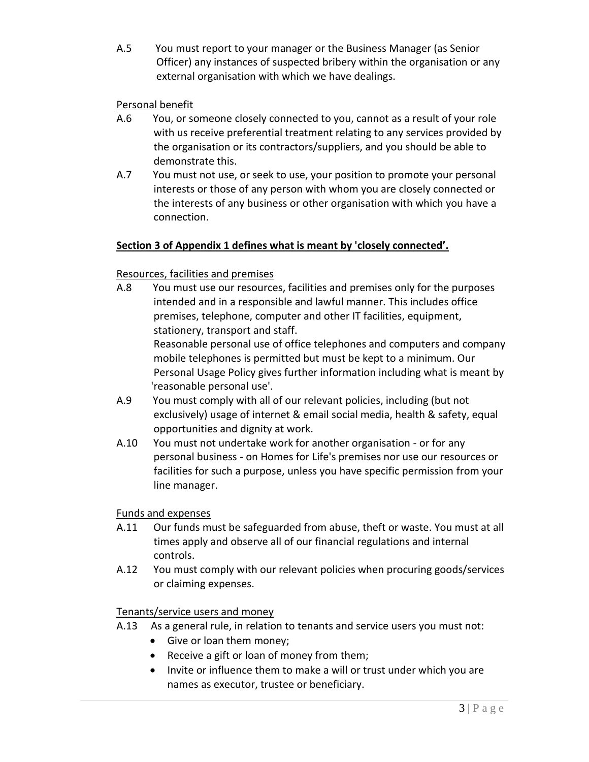A.5 You must report to your manager or the Business Manager (as Senior Officer) any instances of suspected bribery within the organisation or any external organisation with which we have dealings.

## Personal benefit

- A.6 You, or someone closely connected to you, cannot as a result of your role with us receive preferential treatment relating to any services provided by the organisation or its contractors/suppliers, and you should be able to demonstrate this.
- A.7 You must not use, or seek to use, your position to promote your personal interests or those of any person with whom you are closely connected or the interests of any business or other organisation with which you have a connection.

#### **Section 3 of Appendix 1 defines what is meant by 'closely connected'.**

#### Resources, facilities and premises

- A.8 You must use our resources, facilities and premises only for the purposes intended and in a responsible and lawful manner. This includes office premises, telephone, computer and other IT facilities, equipment, stationery, transport and staff. Reasonable personal use of office telephones and computers and company mobile telephones is permitted but must be kept to a minimum. Our Personal Usage Policy gives further information including what is meant by 'reasonable personal use'.
- A.9 You must comply with all of our relevant policies, including (but not exclusively) usage of internet & email social media, health & safety, equal opportunities and dignity at work.
- A.10 You must not undertake work for another organisation or for any personal business - on Homes for Life's premises nor use our resources or facilities for such a purpose, unless you have specific permission from your line manager.

#### Funds and expenses

- A.11 Our funds must be safeguarded from abuse, theft or waste. You must at all times apply and observe all of our financial regulations and internal controls.
- A.12 You must comply with our relevant policies when procuring goods/services or claiming expenses.

#### Tenants/service users and money

- A.13 As a general rule, in relation to tenants and service users you must not:
	- Give or loan them money;
	- Receive a gift or loan of money from them;
	- Invite or influence them to make a will or trust under which you are names as executor, trustee or beneficiary.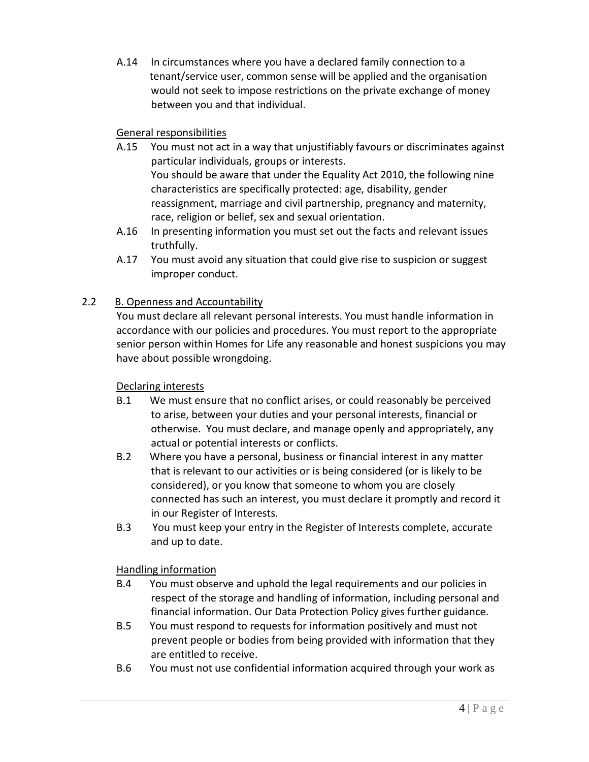A.14 In circumstances where you have a declared family connection to a tenant/service user, common sense will be applied and the organisation would not seek to impose restrictions on the private exchange of money between you and that individual.

## General responsibilities

- A.15 You must not act in a way that unjustifiably favours or discriminates against particular individuals, groups or interests. You should be aware that under the Equality Act 2010, the following nine characteristics are specifically protected: age, disability, gender reassignment, marriage and civil partnership, pregnancy and maternity, race, religion or belief, sex and sexual orientation.
- A.16 In presenting information you must set out the facts and relevant issues truthfully.
- A.17 You must avoid any situation that could give rise to suspicion or suggest improper conduct.

# 2.2 B. Openness and Accountability

You must declare all relevant personal interests. You must handle information in accordance with our policies and procedures. You must report to the appropriate senior person within Homes for Life any reasonable and honest suspicions you may have about possible wrongdoing.

## Declaring interests

- B.1 We must ensure that no conflict arises, or could reasonably be perceived to arise, between your duties and your personal interests, financial or otherwise. You must declare, and manage openly and appropriately, any actual or potential interests or conflicts.
- B.2 Where you have a personal, business or financial interest in any matter that is relevant to our activities or is being considered (or is likely to be considered), or you know that someone to whom you are closely connected has such an interest, you must declare it promptly and record it in our Register of Interests.
- B.3 You must keep your entry in the Register of Interests complete, accurate and up to date.

## Handling information

- B.4 You must observe and uphold the legal requirements and our policies in respect of the storage and handling of information, including personal and financial information. Our Data Protection Policy gives further guidance.
- B.5 You must respond to requests for information positively and must not prevent people or bodies from being provided with information that they are entitled to receive.
- B.6 You must not use confidential information acquired through your work as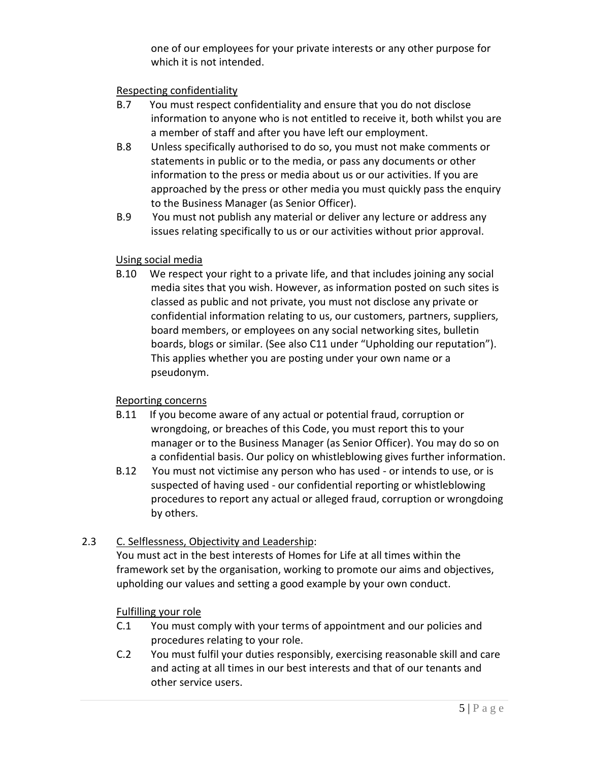one of our employees for your private interests or any other purpose for which it is not intended.

## Respecting confidentiality

- B.7 You must respect confidentiality and ensure that you do not disclose information to anyone who is not entitled to receive it, both whilst you are a member of staff and after you have left our employment.
- B.8 Unless specifically authorised to do so, you must not make comments or statements in public or to the media, or pass any documents or other information to the press or media about us or our activities. If you are approached by the press or other media you must quickly pass the enquiry to the Business Manager (as Senior Officer).
- B.9 You must not publish any material or deliver any lecture or address any issues relating specifically to us or our activities without prior approval.

## Using social media

 B.10 We respect your right to a private life, and that includes joining any social media sites that you wish. However, as information posted on such sites is classed as public and not private, you must not disclose any private or confidential information relating to us, our customers, partners, suppliers, board members, or employees on any social networking sites, bulletin boards, blogs or similar. (See also C11 under "Upholding our reputation"). This applies whether you are posting under your own name or a pseudonym.

## Reporting concerns

- B.11 If you become aware of any actual or potential fraud, corruption or wrongdoing, or breaches of this Code, you must report this to your manager or to the Business Manager (as Senior Officer). You may do so on a confidential basis. Our policy on whistleblowing gives further information.
- B.12 You must not victimise any person who has used or intends to use, or is suspected of having used - our confidential reporting or whistleblowing procedures to report any actual or alleged fraud, corruption or wrongdoing by others.

# 2.3 C. Selflessness, Objectivity and Leadership:

You must act in the best interests of Homes for Life at all times within the framework set by the organisation, working to promote our aims and objectives, upholding our values and setting a good example by your own conduct.

## Fulfilling your role

- C.1 You must comply with your terms of appointment and our policies and procedures relating to your role.
- C.2 You must fulfil your duties responsibly, exercising reasonable skill and care and acting at all times in our best interests and that of our tenants and other service users.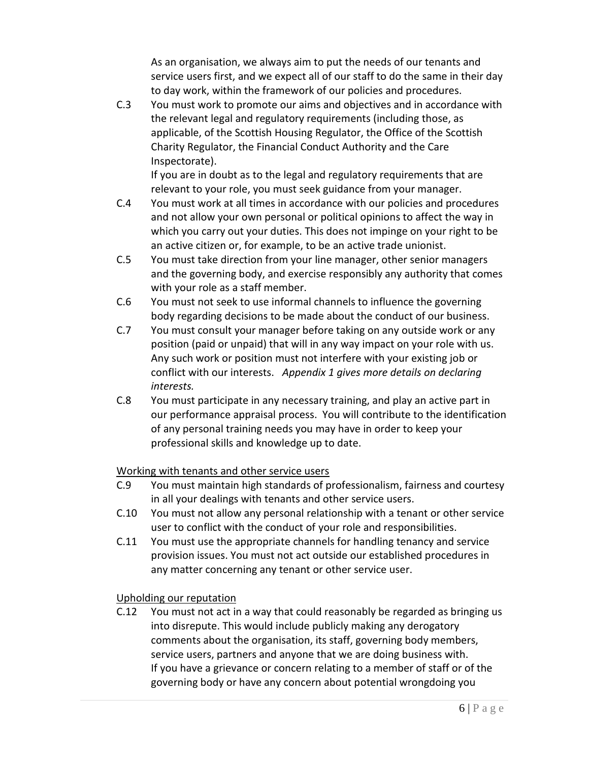As an organisation, we always aim to put the needs of our tenants and service users first, and we expect all of our staff to do the same in their day to day work, within the framework of our policies and procedures.

C.3 You must work to promote our aims and objectives and in accordance with the relevant legal and regulatory requirements (including those, as applicable, of the Scottish Housing Regulator, the Office of the Scottish Charity Regulator, the Financial Conduct Authority and the Care Inspectorate).

If you are in doubt as to the legal and regulatory requirements that are relevant to your role, you must seek guidance from your manager.

- C.4 You must work at all times in accordance with our policies and procedures and not allow your own personal or political opinions to affect the way in which you carry out your duties. This does not impinge on your right to be an active citizen or, for example, to be an active trade unionist.
- C.5 You must take direction from your line manager, other senior managers and the governing body, and exercise responsibly any authority that comes with your role as a staff member.
- C.6 You must not seek to use informal channels to influence the governing body regarding decisions to be made about the conduct of our business.
- C.7 You must consult your manager before taking on any outside work or any position (paid or unpaid) that will in any way impact on your role with us. Any such work or position must not interfere with your existing job or conflict with our interests. *Appendix 1 gives more details on declaring interests.*
- C.8 You must participate in any necessary training, and play an active part in our performance appraisal process. You will contribute to the identification of any personal training needs you may have in order to keep your professional skills and knowledge up to date.

# Working with tenants and other service users

- C.9 You must maintain high standards of professionalism, fairness and courtesy in all your dealings with tenants and other service users.
- C.10 You must not allow any personal relationship with a tenant or other service user to conflict with the conduct of your role and responsibilities.
- C.11 You must use the appropriate channels for handling tenancy and service provision issues. You must not act outside our established procedures in any matter concerning any tenant or other service user.

# Upholding our reputation

C.12 You must not act in a way that could reasonably be regarded as bringing us into disrepute. This would include publicly making any derogatory comments about the organisation, its staff, governing body members, service users, partners and anyone that we are doing business with. If you have a grievance or concern relating to a member of staff or of the governing body or have any concern about potential wrongdoing you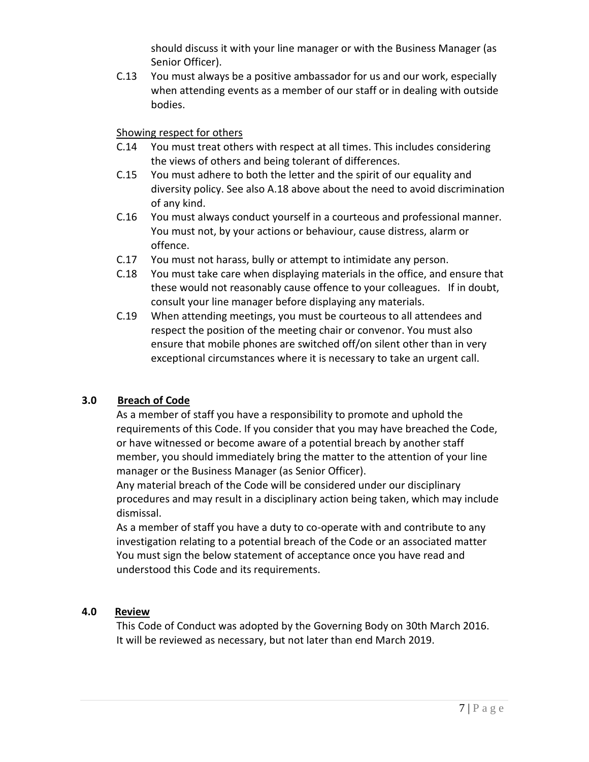should discuss it with your line manager or with the Business Manager (as Senior Officer).

C.13 You must always be a positive ambassador for us and our work, especially when attending events as a member of our staff or in dealing with outside bodies.

## Showing respect for others

- C.14 You must treat others with respect at all times. This includes considering the views of others and being tolerant of differences.
- C.15 You must adhere to both the letter and the spirit of our equality and diversity policy. See also A.18 above about the need to avoid discrimination of any kind.
- C.16 You must always conduct yourself in a courteous and professional manner. You must not, by your actions or behaviour, cause distress, alarm or offence.
- C.17 You must not harass, bully or attempt to intimidate any person.
- C.18 You must take care when displaying materials in the office, and ensure that these would not reasonably cause offence to your colleagues. If in doubt, consult your line manager before displaying any materials.
- C.19 When attending meetings, you must be courteous to all attendees and respect the position of the meeting chair or convenor. You must also ensure that mobile phones are switched off/on silent other than in very exceptional circumstances where it is necessary to take an urgent call.

# **3.0 Breach of Code**

As a member of staff you have a responsibility to promote and uphold the requirements of this Code. If you consider that you may have breached the Code, or have witnessed or become aware of a potential breach by another staff member, you should immediately bring the matter to the attention of your line manager or the Business Manager (as Senior Officer).

Any material breach of the Code will be considered under our disciplinary procedures and may result in a disciplinary action being taken, which may include dismissal.

As a member of staff you have a duty to co-operate with and contribute to any investigation relating to a potential breach of the Code or an associated matter You must sign the below statement of acceptance once you have read and understood this Code and its requirements.

# **4.0 Review**

This Code of Conduct was adopted by the Governing Body on 30th March 2016. It will be reviewed as necessary, but not later than end March 2019.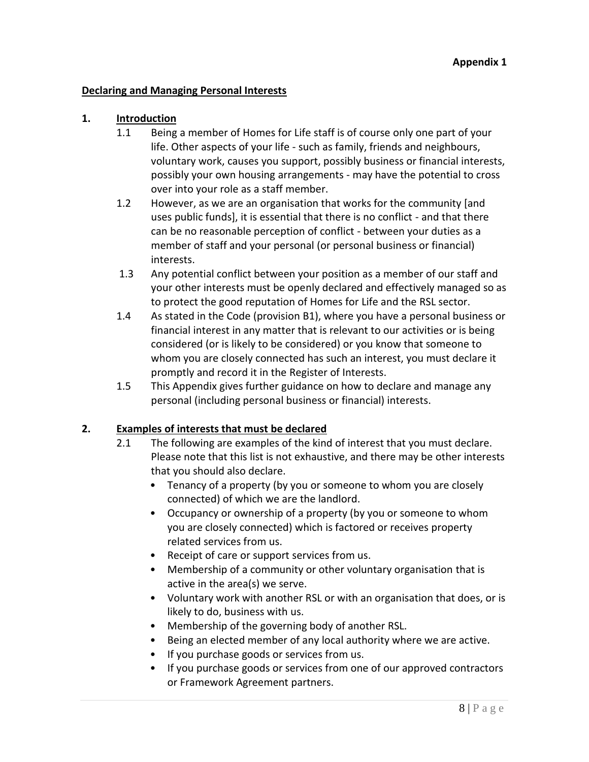#### **Declaring and Managing Personal Interests**

#### **1. Introduction**

- 1.1 Being a member of Homes for Life staff is of course only one part of your life. Other aspects of your life - such as family, friends and neighbours, voluntary work, causes you support, possibly business or financial interests, possibly your own housing arrangements - may have the potential to cross over into your role as a staff member.
- 1.2 However, as we are an organisation that works for the community [and uses public funds], it is essential that there is no conflict - and that there can be no reasonable perception of conflict - between your duties as a member of staff and your personal (or personal business or financial) interests.
- 1.3 Any potential conflict between your position as a member of our staff and your other interests must be openly declared and effectively managed so as to protect the good reputation of Homes for Life and the RSL sector.
- 1.4 As stated in the Code (provision B1), where you have a personal business or financial interest in any matter that is relevant to our activities or is being considered (or is likely to be considered) or you know that someone to whom you are closely connected has such an interest, you must declare it promptly and record it in the Register of Interests.
- 1.5 This Appendix gives further guidance on how to declare and manage any personal (including personal business or financial) interests.

## **2. Examples of interests that must be declared**

- 2.1 The following are examples of the kind of interest that you must declare. Please note that this list is not exhaustive, and there may be other interests that you should also declare.
	- Tenancy of a property (by you or someone to whom you are closely connected) of which we are the landlord.
	- Occupancy or ownership of a property (by you or someone to whom you are closely connected) which is factored or receives property related services from us.
	- Receipt of care or support services from us.
	- Membership of a community or other voluntary organisation that is active in the area(s) we serve.
	- Voluntary work with another RSL or with an organisation that does, or is likely to do, business with us.
	- Membership of the governing body of another RSL.
	- Being an elected member of any local authority where we are active.
	- If you purchase goods or services from us.
	- If you purchase goods or services from one of our approved contractors or Framework Agreement partners.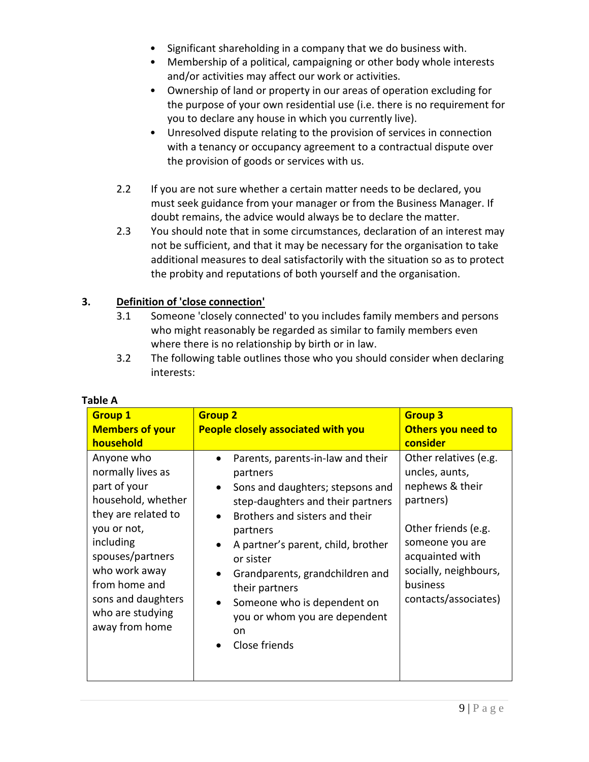- Significant shareholding in a company that we do business with.
- Membership of a political, campaigning or other body whole interests and/or activities may affect our work or activities.
- Ownership of land or property in our areas of operation excluding for the purpose of your own residential use (i.e. there is no requirement for you to declare any house in which you currently live).
- Unresolved dispute relating to the provision of services in connection with a tenancy or occupancy agreement to a contractual dispute over the provision of goods or services with us.
- 2.2 If you are not sure whether a certain matter needs to be declared, you must seek guidance from your manager or from the Business Manager. If doubt remains, the advice would always be to declare the matter.
- 2.3 You should note that in some circumstances, declaration of an interest may not be sufficient, and that it may be necessary for the organisation to take additional measures to deal satisfactorily with the situation so as to protect the probity and reputations of both yourself and the organisation.

# **3. Definition of 'close connection'**

- 3.1 Someone 'closely connected' to you includes family members and persons who might reasonably be regarded as similar to family members even where there is no relationship by birth or in law.
- 3.2 The following table outlines those who you should consider when declaring interests:

| <b>Group 1</b>                                                                                                                                                                                                                             | <b>Group 2</b>                                                                                                                                                                                                                                                                                                                                                                                | <b>Group 3</b>                                                                                                                                                                                    |
|--------------------------------------------------------------------------------------------------------------------------------------------------------------------------------------------------------------------------------------------|-----------------------------------------------------------------------------------------------------------------------------------------------------------------------------------------------------------------------------------------------------------------------------------------------------------------------------------------------------------------------------------------------|---------------------------------------------------------------------------------------------------------------------------------------------------------------------------------------------------|
| <b>Members of your</b><br>household                                                                                                                                                                                                        | <b>People closely associated with you</b>                                                                                                                                                                                                                                                                                                                                                     | Others you need to<br>consider                                                                                                                                                                    |
| Anyone who<br>normally lives as<br>part of your<br>household, whether<br>they are related to<br>you or not,<br>including<br>spouses/partners<br>who work away<br>from home and<br>sons and daughters<br>who are studying<br>away from home | Parents, parents-in-law and their<br>partners<br>Sons and daughters; stepsons and<br>$\bullet$<br>step-daughters and their partners<br>Brothers and sisters and their<br>partners<br>A partner's parent, child, brother<br>or sister<br>Grandparents, grandchildren and<br>their partners<br>Someone who is dependent on<br>you or whom you are dependent<br>on<br>Close friends<br>$\bullet$ | Other relatives (e.g.<br>uncles, aunts,<br>nephews & their<br>partners)<br>Other friends (e.g.<br>someone you are<br>acquainted with<br>socially, neighbours,<br>business<br>contacts/associates) |

# **Table A**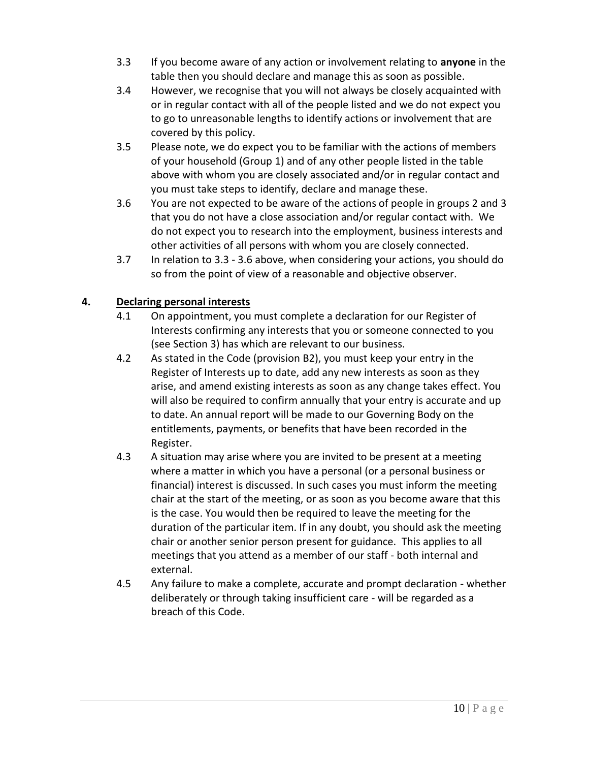- 3.3 If you become aware of any action or involvement relating to **anyone** in the table then you should declare and manage this as soon as possible.
- 3.4 However, we recognise that you will not always be closely acquainted with or in regular contact with all of the people listed and we do not expect you to go to unreasonable lengths to identify actions or involvement that are covered by this policy.
- 3.5 Please note, we do expect you to be familiar with the actions of members of your household (Group 1) and of any other people listed in the table above with whom you are closely associated and/or in regular contact and you must take steps to identify, declare and manage these.
- 3.6 You are not expected to be aware of the actions of people in groups 2 and 3 that you do not have a close association and/or regular contact with. We do not expect you to research into the employment, business interests and other activities of all persons with whom you are closely connected.
- 3.7 In relation to 3.3 3.6 above, when considering your actions, you should do so from the point of view of a reasonable and objective observer.

## **4. Declaring personal interests**

- 4.1 On appointment, you must complete a declaration for our Register of Interests confirming any interests that you or someone connected to you (see Section 3) has which are relevant to our business.
- 4.2 As stated in the Code (provision B2), you must keep your entry in the Register of Interests up to date, add any new interests as soon as they arise, and amend existing interests as soon as any change takes effect. You will also be required to confirm annually that your entry is accurate and up to date. An annual report will be made to our Governing Body on the entitlements, payments, or benefits that have been recorded in the Register.
- 4.3 A situation may arise where you are invited to be present at a meeting where a matter in which you have a personal (or a personal business or financial) interest is discussed. In such cases you must inform the meeting chair at the start of the meeting, or as soon as you become aware that this is the case. You would then be required to leave the meeting for the duration of the particular item. If in any doubt, you should ask the meeting chair or another senior person present for guidance. This applies to all meetings that you attend as a member of our staff - both internal and external.
- 4.5 Any failure to make a complete, accurate and prompt declaration whether deliberately or through taking insufficient care - will be regarded as a breach of this Code.